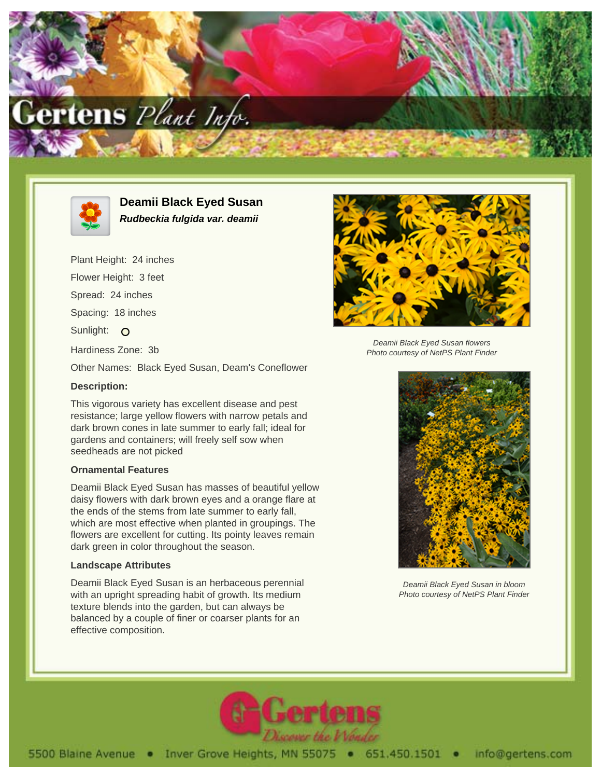



**Deamii Black Eyed Susan Rudbeckia fulgida var. deamii**

Plant Height: 24 inches Flower Height: 3 feet Spread: 24 inches Spacing: 18 inches Sunlight: O Hardiness Zone: 3b Other Names: Black Eyed Susan, Deam's Coneflower **Description:**

This vigorous variety has excellent disease and pest resistance; large yellow flowers with narrow petals and dark brown cones in late summer to early fall; ideal for gardens and containers; will freely self sow when seedheads are not picked

## **Ornamental Features**

Deamii Black Eyed Susan has masses of beautiful yellow daisy flowers with dark brown eyes and a orange flare at the ends of the stems from late summer to early fall, which are most effective when planted in groupings. The flowers are excellent for cutting. Its pointy leaves remain dark green in color throughout the season.

## **Landscape Attributes**

Deamii Black Eyed Susan is an herbaceous perennial with an upright spreading habit of growth. Its medium texture blends into the garden, but can always be balanced by a couple of finer or coarser plants for an effective composition.



Deamii Black Eyed Susan flowers Photo courtesy of NetPS Plant Finder



Deamii Black Eyed Susan in bloom Photo courtesy of NetPS Plant Finder